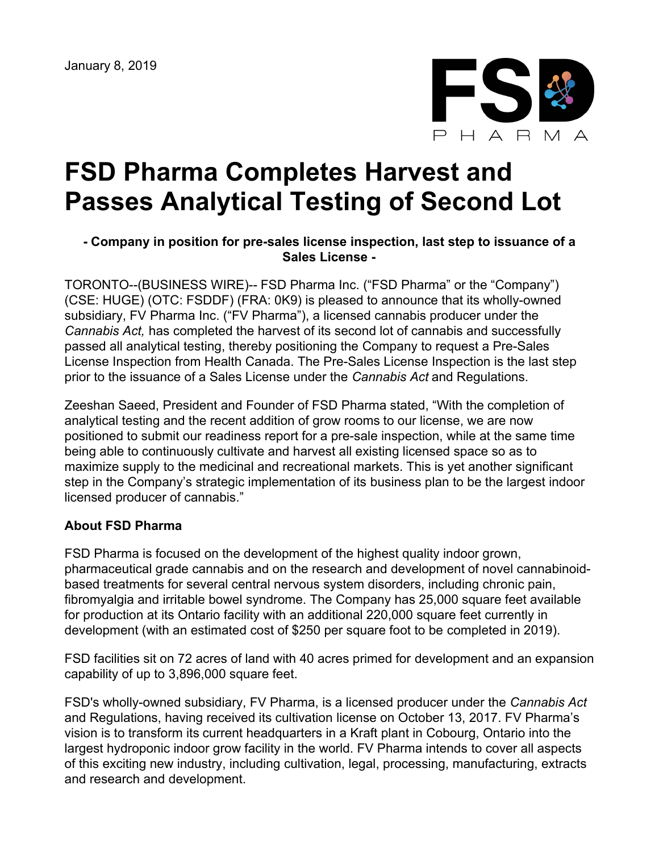

# **FSD Pharma Completes Harvest and Passes Analytical Testing of Second Lot**

## **- Company in position for pre-sales license inspection, last step to issuance of a Sales License -**

TORONTO--(BUSINESS WIRE)-- FSD Pharma Inc. ("FSD Pharma" or the "Company") (CSE: HUGE) (OTC: FSDDF) (FRA: 0K9) is pleased to announce that its wholly-owned subsidiary, FV Pharma Inc. ("FV Pharma"), a licensed cannabis producer under the *Cannabis Act,* has completed the harvest of its second lot of cannabis and successfully passed all analytical testing, thereby positioning the Company to request a Pre-Sales License Inspection from Health Canada. The Pre-Sales License Inspection is the last step prior to the issuance of a Sales License under the *Cannabis Act* and Regulations.

Zeeshan Saeed, President and Founder of FSD Pharma stated, "With the completion of analytical testing and the recent addition of grow rooms to our license, we are now positioned to submit our readiness report for a pre-sale inspection, while at the same time being able to continuously cultivate and harvest all existing licensed space so as to maximize supply to the medicinal and recreational markets. This is yet another significant step in the Company's strategic implementation of its business plan to be the largest indoor licensed producer of cannabis."

### **About FSD Pharma**

FSD Pharma is focused on the development of the highest quality indoor grown, pharmaceutical grade cannabis and on the research and development of novel cannabinoidbased treatments for several central nervous system disorders, including chronic pain, fibromyalgia and irritable bowel syndrome. The Company has 25,000 square feet available for production at its Ontario facility with an additional 220,000 square feet currently in development (with an estimated cost of \$250 per square foot to be completed in 2019).

FSD facilities sit on 72 acres of land with 40 acres primed for development and an expansion capability of up to 3,896,000 square feet.

FSD's wholly-owned subsidiary, FV Pharma, is a licensed producer under the *Cannabis Act* and Regulations, having received its cultivation license on October 13, 2017. FV Pharma's vision is to transform its current headquarters in a Kraft plant in Cobourg, Ontario into the largest hydroponic indoor grow facility in the world. FV Pharma intends to cover all aspects of this exciting new industry, including cultivation, legal, processing, manufacturing, extracts and research and development.